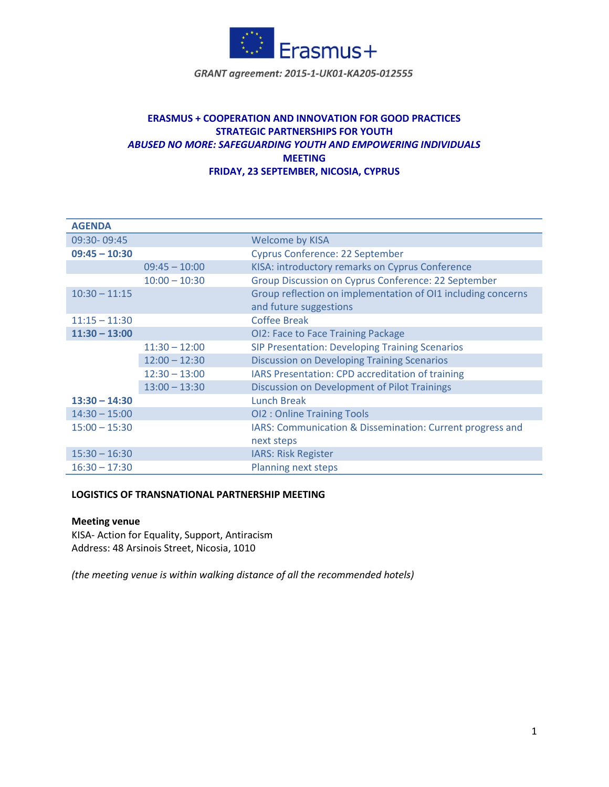

GRANT agreement: 2015-1-UK01-KA205-012555

# **ERASMUS + COOPERATION AND INNOVATION FOR GOOD PRACTICES STRATEGIC PARTNERSHIPS FOR YOUTH** *ABUSED NO MORE: SAFEGUARDING YOUTH AND EMPOWERING INDIVIDUALS* **MEETING FRIDAY, 23 SEPTEMBER, NICOSIA, CYPRUS**

| <b>AGENDA</b>   |                 |                                                              |
|-----------------|-----------------|--------------------------------------------------------------|
| 09:30-09:45     |                 | <b>Welcome by KISA</b>                                       |
| $09:45 - 10:30$ |                 | <b>Cyprus Conference: 22 September</b>                       |
|                 | $09:45 - 10:00$ | KISA: introductory remarks on Cyprus Conference              |
|                 | $10:00 - 10:30$ | Group Discussion on Cyprus Conference: 22 September          |
| $10:30 - 11:15$ |                 | Group reflection on implementation of OI1 including concerns |
|                 |                 | and future suggestions                                       |
| $11:15 - 11:30$ |                 | <b>Coffee Break</b>                                          |
| $11:30 - 13:00$ |                 | OI2: Face to Face Training Package                           |
|                 | $11:30 - 12:00$ | <b>SIP Presentation: Developing Training Scenarios</b>       |
|                 | $12:00 - 12:30$ | <b>Discussion on Developing Training Scenarios</b>           |
|                 | $12:30 - 13:00$ | IARS Presentation: CPD accreditation of training             |
|                 | $13:00 - 13:30$ | Discussion on Development of Pilot Trainings                 |
| $13:30 - 14:30$ |                 | <b>Lunch Break</b>                                           |
| $14:30 - 15:00$ |                 | <b>OI2: Online Training Tools</b>                            |
| $15:00 - 15:30$ |                 | IARS: Communication & Dissemination: Current progress and    |
|                 |                 | next steps                                                   |
| $15:30 - 16:30$ |                 | <b>IARS: Risk Register</b>                                   |
| $16:30 - 17:30$ |                 | Planning next steps                                          |

## **LOGISTICS OF TRANSNATIONAL PARTNERSHIP MEETING**

#### **Meeting venue**

KISA- Action for Equality, Support, Antiracism Address: 48 Arsinois Street, Nicosia, 1010

*(the meeting venue is within walking distance of all the recommended hotels)*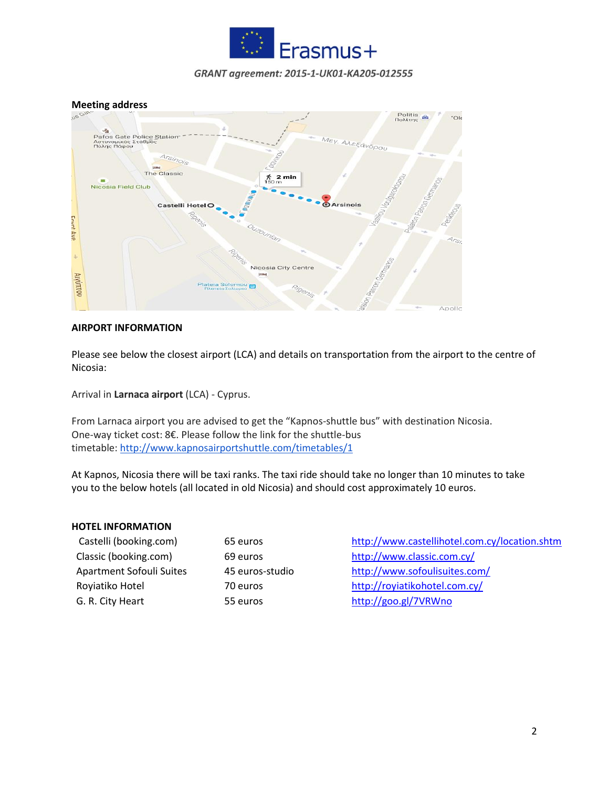

### GRANT agreement: 2015-1-UK01-KA205-012555

**Meeting address**



## **AIRPORT INFORMATION**

Please see below the closest airport (LCA) and details on transportation from the airport to the centre of Nicosia:

Arrival in **Larnaca airport** (LCA) - Cyprus.

From Larnaca airport you are advised to get the "Kapnos-shuttle bus" with destination Nicosia. One-way ticket cost: 8€. Please follow the link for the shuttle-bus timetable: <http://www.kapnosairportshuttle.com/timetables/1>

At Kapnos, Nicosia there will be taxi ranks. The taxi ride should take no longer than 10 minutes to take you to the below hotels (all located in old Nicosia) and should cost approximately 10 euros.

#### **HOTEL INFORMATION**

| Castelli (booking.com)   |
|--------------------------|
| Classic (booking.com)    |
| Apartment Sofouli Suites |
| Royiatiko Hotel          |
| G. R. City Heart         |

65 euros <http://www.castellihotel.com.cy/location.shtm> 69 euros <http://www.classic.com.cy/> 45 euros-studio <http://www.sofoulisuites.com/> 70 euros http://royiatikohotel.com.cy/ 55 euros http://goo.gl/7VRWno